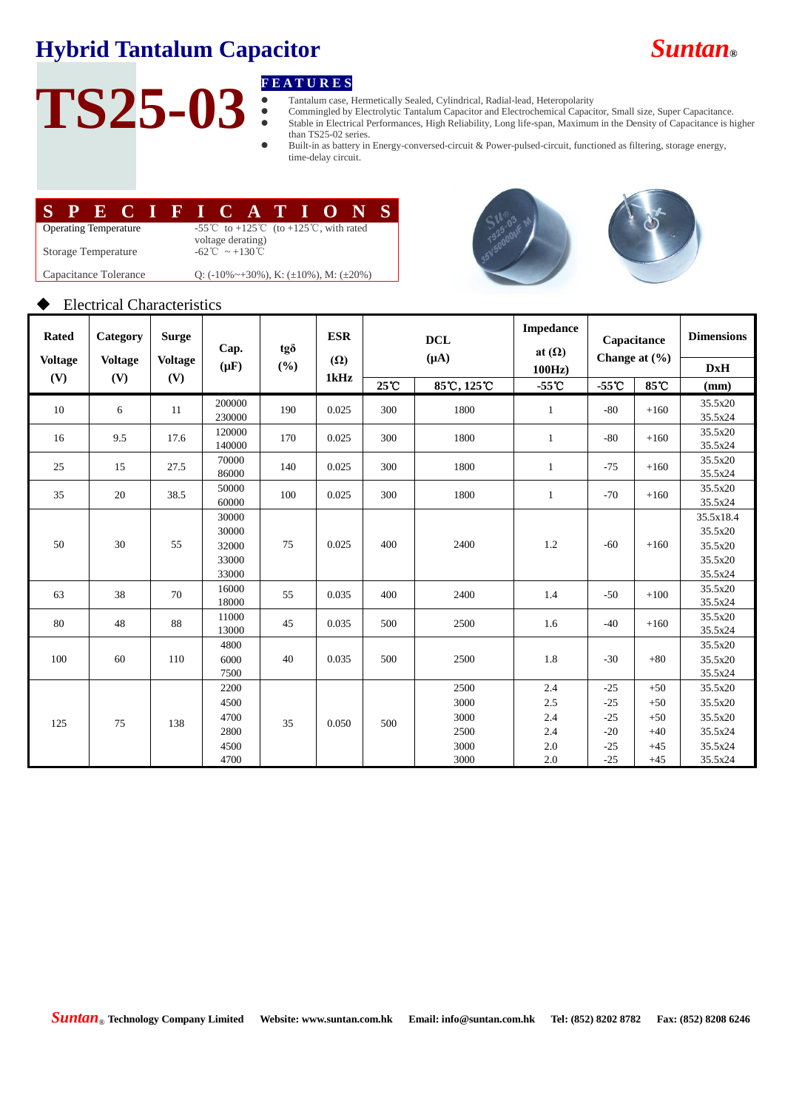## **Hybrid Tantalum Capacitor** *Suntan***®**

## **TS25-03**

- Tantalum case, Hermetically Sealed, Cylindrical, Radial-lead, Heteropolarity
- **F E A T U R E S**<br>
Tantalum case, F<br>
Commingled by<br>
Stable in Electric Commingled by Electrolytic Tantalum Capacitor and Electrochemical Capacitor, Small size, Super Capacitance. Stable in Electrical Performances, High Reliability, Long life-span, Maximum in the Density of Capacitance is higher than TS25-02 series.
	- Built-in as battery in Energy-conversed-circuit & Power-pulsed-circuit, functioned as filtering, storage energy, time-delay circuit.

|                              |  |  | SPECIFICATIONS |  |                                                                                                    |                                                             |  |  |  |  |  |  |  |
|------------------------------|--|--|----------------|--|----------------------------------------------------------------------------------------------------|-------------------------------------------------------------|--|--|--|--|--|--|--|
| <b>Operating Temperature</b> |  |  |                |  | -55 <sup>°</sup> C to +125 <sup>°</sup> C (to +125 <sup>°</sup> C, with rated<br>voltage derating) |                                                             |  |  |  |  |  |  |  |
| Storage Temperature          |  |  |                |  | $-62^{\circ}\text{C} \sim +130^{\circ}\text{C}$                                                    |                                                             |  |  |  |  |  |  |  |
| Capacitance Tolerance        |  |  |                |  |                                                                                                    | Q: $(-10\% \sim +30\%)$ , K: $(\pm 10\%)$ , M: $(\pm 20\%)$ |  |  |  |  |  |  |  |





#### Electrical Characteristics

| <b>Rated</b>   | Category          | <b>Surge</b>   | Cap.                                         | tgð | <b>ESR</b> | <b>DCL</b><br>$(\mu A)$ |                                              | <b>Impedance</b><br>at $(\Omega)$      | Capacitance<br>Change at $(\frac{6}{6})$           |                                                    | <b>Dimensions</b>                                              |
|----------------|-------------------|----------------|----------------------------------------------|-----|------------|-------------------------|----------------------------------------------|----------------------------------------|----------------------------------------------------|----------------------------------------------------|----------------------------------------------------------------|
| <b>Voltage</b> | <b>Voltage</b>    | <b>Voltage</b> | $(\mu F)$                                    | (%) | $(\Omega)$ |                         |                                              | 100Hz                                  |                                                    |                                                    | <b>DxH</b>                                                     |
|                | (V)<br>(V)<br>(V) |                |                                              |     | 1kHz       | 25 C                    | 85°C, 125°C                                  | $-55^{\circ}$ C                        | $-55^{\circ}$ C                                    | 85°C                                               | (mm)                                                           |
| 10             | 6                 | 11             | 200000<br>230000                             | 190 | 0.025      | 300                     | 1800                                         | 1                                      | $-80$                                              | $+160$                                             | 35.5x20<br>35.5x24                                             |
| 16             | 9.5               | 17.6           | 120000<br>140000                             | 170 | 0.025      | 300                     | 1800                                         | $\mathbf{1}$                           | $-80$                                              | $+160$                                             | 35.5x20<br>35.5x24                                             |
| 25             | 15                | 27.5           | 70000<br>86000                               | 140 | 0.025      | 300                     | 1800                                         | 1                                      | $-75$                                              | $+160$                                             | 35.5x20<br>35.5x24                                             |
| 35             | 20                | 38.5           | 50000<br>60000                               | 100 | 0.025      | 300                     | 1800                                         | 1                                      | $-70$                                              | $+160$                                             | 35.5x20<br>35.5x24                                             |
| 50             | 30                | 55             | 30000<br>30000<br>32000<br>33000<br>33000    | 75  | 0.025      | 400                     | 2400                                         | 1.2                                    | $-60$                                              | $+160$                                             | 35.5x18.4<br>35.5x20<br>35.5x20<br>35.5x20<br>35.5x24          |
| 63             | 38                | 70             | 16000<br>18000                               | 55  | 0.035      | 400                     | 2400                                         | 1.4                                    | $-50$                                              | $+100$                                             | 35.5x20<br>35.5x24                                             |
| 80             | 48                | 88             | 11000<br>13000                               | 45  | 0.035      | 500                     | 2500                                         | 1.6                                    | $-40$                                              | $+160$                                             | 35.5x20<br>35.5x24                                             |
| 100            | 60                | 110            | 4800<br>6000<br>7500                         | 40  | 0.035      | 500                     | 2500                                         | 1.8                                    | $-30$                                              | $+80$                                              | 35.5x20<br>35.5x20<br>35.5x24                                  |
| 125            | 75                | 138            | 2200<br>4500<br>4700<br>2800<br>4500<br>4700 | 35  | 0.050      | 500                     | 2500<br>3000<br>3000<br>2500<br>3000<br>3000 | 2.4<br>2.5<br>2.4<br>2.4<br>2.0<br>2.0 | $-25$<br>$-25$<br>$-25$<br>$-20$<br>$-25$<br>$-25$ | $+50$<br>$+50$<br>$+50$<br>$+40$<br>$+45$<br>$+45$ | 35.5x20<br>35.5x20<br>35.5x20<br>35.5x24<br>35.5x24<br>35.5x24 |